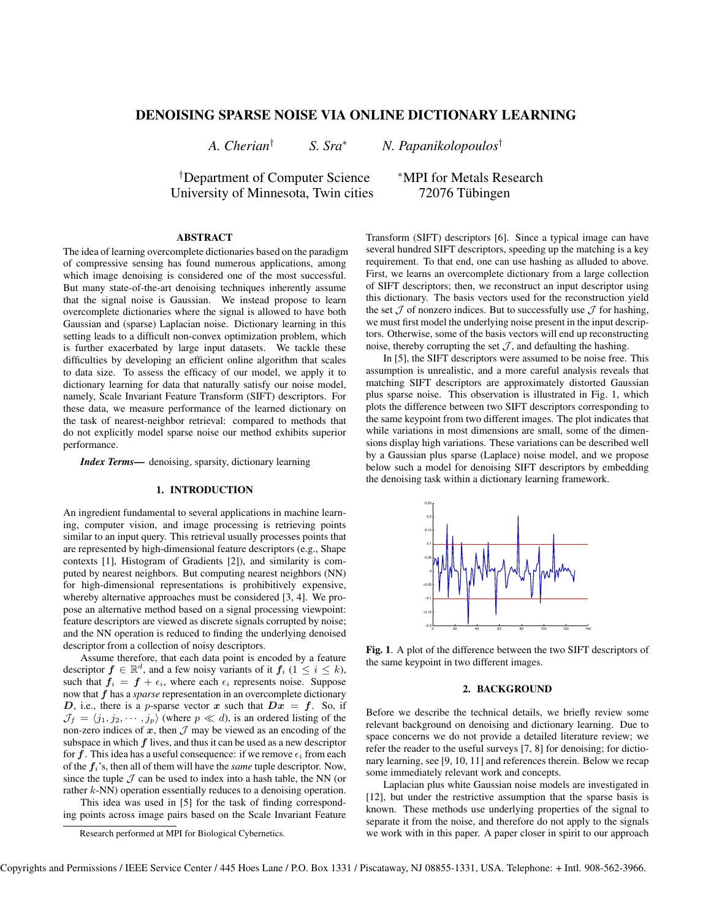# **DENOISING SPARSE NOISE VIA ONLINE DICTIONARY LEARNING**

*A. Cherian*† *S. Sra*<sup>∗</sup> *N. Papanikolopoulos*†

†Department of Computer Science <sup>∗</sup>MPI for Metals Research University of Minnesota, Twin cities 72076 Tübingen

# **ABSTRACT**

The idea of learning overcomplete dictionaries based on the paradigm of compressive sensing has found numerous applications, among which image denoising is considered one of the most successful. But many state-of-the-art denoising techniques inherently assume that the signal noise is Gaussian. We instead propose to learn overcomplete dictionaries where the signal is allowed to have both Gaussian and (sparse) Laplacian noise. Dictionary learning in this setting leads to a difficult non-convex optimization problem, which is further exacerbated by large input datasets. We tackle these difficulties by developing an efficient online algorithm that scales to data size. To assess the efficacy of our model, we apply it to dictionary learning for data that naturally satisfy our noise model, namely, Scale Invariant Feature Transform (SIFT) descriptors. For these data, we measure performance of the learned dictionary on the task of nearest-neighbor retrieval: compared to methods that do not explicitly model sparse noise our method exhibits superior performance.

*Index Terms***—** denoising, sparsity, dictionary learning

#### **1. INTRODUCTION**

An ingredient fundamental to several applications in machine learning, computer vision, and image processing is retrieving points similar to an input query. This retrieval usually processes points that are represented by high-dimensional feature descriptors (e.g., Shape contexts [1], Histogram of Gradients [2]), and similarity is computed by nearest neighbors. But computing nearest neighbors (NN) for high-dimensional representations is prohibitively expensive, whereby alternative approaches must be considered [3, 4]. We propose an alternative method based on a signal processing viewpoint: feature descriptors are viewed as discrete signals corrupted by noise; and the NN operation is reduced to finding the underlying denoised descriptor from a collection of noisy descriptors.

Assume therefore, that each data point is encoded by a feature descriptor  $f \in \mathbb{R}^d$ , and a few noisy variants of it  $f_i$  ( $1 \leq i \leq k$ ), such that  $f_i = f + \epsilon_i$ , where each  $\epsilon_i$  represents noise. Suppose now that f has a *sparse* representation in an overcomplete dictionary D, i.e., there is a p-sparse vector x such that  $Dx = f$ . So, if  $\mathcal{J}_f = \langle j_1, j_2, \cdots, j_p \rangle$  (where  $p \ll d$ ), is an ordered listing of the non-zero indices of  $x$ , then  $\mathcal I$  may be viewed as an encoding of the subspace in which  $f$  lives, and thus it can be used as a new descriptor for f. This idea has a useful consequence: if we remove  $\epsilon_i$  from each of the  $f_i$ 's, then all of them will have the *same* tuple descriptor. Now, since the tuple  $\mathcal J$  can be used to index into a hash table, the NN (or rather k-NN) operation essentially reduces to a denoising operation.

This idea was used in [5] for the task of finding corresponding points across image pairs based on the Scale Invariant Feature Transform (SIFT) descriptors [6]. Since a typical image can have several hundred SIFT descriptors, speeding up the matching is a key requirement. To that end, one can use hashing as alluded to above. First, we learns an overcomplete dictionary from a large collection of SIFT descriptors; then, we reconstruct an input descriptor using this dictionary. The basis vectors used for the reconstruction yield the set  $J$  of nonzero indices. But to successfully use  $J$  for hashing, we must first model the underlying noise present in the input descriptors. Otherwise, some of the basis vectors will end up reconstructing noise, thereby corrupting the set  $J$ , and defaulting the hashing.

In [5], the SIFT descriptors were assumed to be noise free. This assumption is unrealistic, and a more careful analysis reveals that matching SIFT descriptors are approximately distorted Gaussian plus sparse noise. This observation is illustrated in Fig. 1, which plots the difference between two SIFT descriptors corresponding to the same keypoint from two different images. The plot indicates that while variations in most dimensions are small, some of the dimensions display high variations. These variations can be described well by a Gaussian plus sparse (Laplace) noise model, and we propose below such a model for denoising SIFT descriptors by embedding the denoising task within a dictionary learning framework.



**Fig. 1**. A plot of the difference between the two SIFT descriptors of the same keypoint in two different images.

# **2. BACKGROUND**

Before we describe the technical details, we briefly review some relevant background on denoising and dictionary learning. Due to space concerns we do not provide a detailed literature review; we refer the reader to the useful surveys [7, 8] for denoising; for dictionary learning, see [9, 10, 11] and references therein. Below we recap some immediately relevant work and concepts.

Laplacian plus white Gaussian noise models are investigated in [12], but under the restrictive assumption that the sparse basis is known. These methods use underlying properties of the signal to separate it from the noise, and therefore do not apply to the signals we work with in this paper. A paper closer in spirit to our approach

Research performed at MPI for Biological Cybernetics.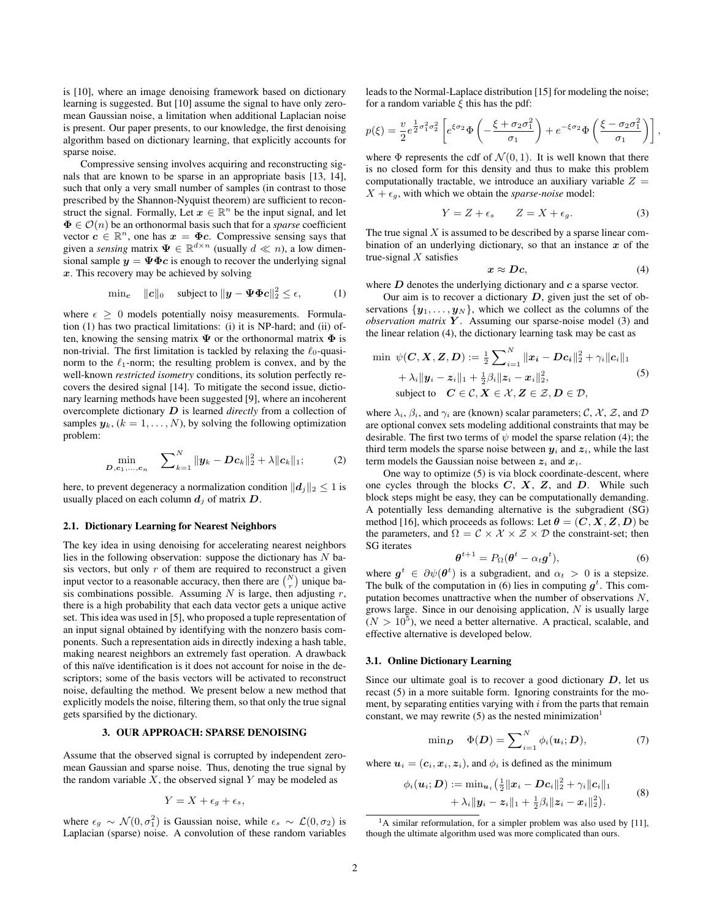is [10], where an image denoising framework based on dictionary learning is suggested. But [10] assume the signal to have only zeromean Gaussian noise, a limitation when additional Laplacian noise is present. Our paper presents, to our knowledge, the first denoising algorithm based on dictionary learning, that explicitly accounts for sparse noise.

Compressive sensing involves acquiring and reconstructing signals that are known to be sparse in an appropriate basis [13, 14], such that only a very small number of samples (in contrast to those prescribed by the Shannon-Nyquist theorem) are sufficient to reconstruct the signal. Formally, Let  $x \in \mathbb{R}^n$  be the input signal, and let  $\Phi \in \mathcal{O}(n)$  be an orthonormal basis such that for a *sparse* coefficient vector  $c \in \mathbb{R}^n$ , one has  $x = \Phi c$ . Compressive sensing says that given a *sensing* matrix  $\Psi \in \mathbb{R}^{d \times n}$  (usually  $d \ll n$ ), a low dimensional sample  $y = \Psi \Phi c$  is enough to recover the underlying signal  $x$ . This recovery may be achieved by solving

$$
\text{min}_{\mathbf{c}} \quad \|\mathbf{c}\|_0 \quad \text{subject to } \|\mathbf{y} - \mathbf{\Psi} \mathbf{\Phi} \mathbf{c}\|_2^2 \le \epsilon, \tag{1}
$$

where  $\epsilon \geq 0$  models potentially noisy measurements. Formulation (1) has two practical limitations: (i) it is NP-hard; and (ii) often, knowing the sensing matrix  $\Psi$  or the orthonormal matrix  $\Phi$  is non-trivial. The first limitation is tackled by relaxing the  $\ell_0$ -quasinorm to the  $\ell_1$ -norm; the resulting problem is convex, and by the well-known *restricted isometry* conditions, its solution perfectly recovers the desired signal [14]. To mitigate the second issue, dictionary learning methods have been suggested [9], where an incoherent overcomplete dictionary D is learned *directly* from a collection of samples  $y_k$ ,  $(k = 1, ..., N)$ , by solving the following optimization problem:

$$
\min_{D, c_1, \dots, c_n} \quad \sum_{k=1}^N \|y_k - Dc_k\|_2^2 + \lambda \|c_k\|_1; \tag{2}
$$

here, to prevent degeneracy a normalization condition  $||\boldsymbol{d}_i||_2 < 1$  is usually placed on each column  $d_i$  of matrix  $D$ .

#### **2.1. Dictionary Learning for Nearest Neighbors**

The key idea in using denoising for accelerating nearest neighbors lies in the following observation: suppose the dictionary has  $N$  basis vectors, but only  $r$  of them are required to reconstruct a given input vector to a reasonable accuracy, then there are  $\binom{N}{r}$  unique basis combinations possible. Assuming  $N$  is large, then adjusting  $r$ , there is a high probability that each data vector gets a unique active set. This idea was used in [5], who proposed a tuple representation of an input signal obtained by identifying with the nonzero basis components. Such a representation aids in directly indexing a hash table, making nearest neighbors an extremely fast operation. A drawback of this naïve identification is it does not account for noise in the descriptors; some of the basis vectors will be activated to reconstruct noise, defaulting the method. We present below a new method that explicitly models the noise, filtering them, so that only the true signal gets sparsified by the dictionary.

#### **3. OUR APPROACH: SPARSE DENOISING**

Assume that the observed signal is corrupted by independent zeromean Gaussian and sparse noise. Thus, denoting the true signal by the random variable  $X$ , the observed signal  $Y$  may be modeled as

$$
Y = X + \epsilon_g + \epsilon_s,
$$

where  $\epsilon_g \sim \mathcal{N}(0, \sigma_1^2)$  is Gaussian noise, while  $\epsilon_s \sim \mathcal{L}(0, \sigma_2)$  is Laplacian (sparse) noise. A convolution of these random variables

leads to the Normal-Laplace distribution [15] for modeling the noise; for a random variable  $\xi$  this has the pdf:

$$
p(\xi) = \frac{v}{2} e^{\frac{1}{2}\sigma_1^2 \sigma_2^2} \left[ e^{\xi \sigma_2} \Phi \left( -\frac{\xi + \sigma_2 \sigma_1^2}{\sigma_1} \right) + e^{-\xi \sigma_2} \Phi \left( \frac{\xi - \sigma_2 \sigma_1^2}{\sigma_1} \right) \right],
$$

where  $\Phi$  represents the cdf of  $\mathcal{N}(0, 1)$ . It is well known that there is no closed form for this density and thus to make this problem computationally tractable, we introduce an auxiliary variable  $Z =$  $X + \epsilon_{q}$ , with which we obtain the *sparse-noise* model:

$$
Y = Z + \epsilon_s \qquad Z = X + \epsilon_g. \tag{3}
$$

The true signal  $X$  is assumed to be described by a sparse linear combination of an underlying dictionary, so that an instance  $x$  of the true-signal  $X$  satisfies

$$
x \approx Dc, \tag{4}
$$

where  $D$  denotes the underlying dictionary and  $c$  a sparse vector.

Our aim is to recover a dictionary  $D$ , given just the set of observations  $\{y_1, \ldots, y_N\}$ , which we collect as the columns of the *observation matrix* Y. Assuming our sparse-noise model (3) and the linear relation (4), the dictionary learning task may be cast as

$$
\begin{aligned}\n\min \ \psi(\boldsymbol{C}, \boldsymbol{X}, \boldsymbol{Z}, \boldsymbol{D}) &:= \frac{1}{2} \sum_{i=1}^{N} \|\boldsymbol{x}_i - \boldsymbol{D}\boldsymbol{c}_i\|_2^2 + \gamma_i \|\boldsymbol{c}_i\|_1 \\
&+ \lambda_i \|\boldsymbol{y}_i - \boldsymbol{z}_i\|_1 + \frac{1}{2} \beta_i \|\boldsymbol{z}_i - \boldsymbol{x}_i\|_2^2, \\
\text{subject to} \quad \boldsymbol{C} \in \mathcal{C}, \boldsymbol{X} \in \mathcal{X}, \boldsymbol{Z} \in \mathcal{Z}, \boldsymbol{D} \in \mathcal{D},\n\end{aligned} \tag{5}
$$

where  $\lambda_i$ ,  $\beta_i$ , and  $\gamma_i$  are (known) scalar parameters; C, X, Z, and D are optional convex sets modeling additional constraints that may be desirable. The first two terms of  $\psi$  model the sparse relation (4); the third term models the sparse noise between  $y_i$  and  $z_i$ , while the last term models the Gaussian noise between  $z_i$  and  $x_i$ .

One way to optimize (5) is via block coordinate-descent, where one cycles through the blocks  $C, X, Z$ , and  $D$ . While such block steps might be easy, they can be computationally demanding. A potentially less demanding alternative is the subgradient (SG) method [16], which proceeds as follows: Let  $\theta = (C, X, Z, D)$  be the parameters, and  $\Omega = \mathcal{C} \times \mathcal{X} \times \mathcal{Z} \times \mathcal{D}$  the constraint-set; then SG iterates

$$
\boldsymbol{\theta}^{t+1} = P_{\Omega}(\boldsymbol{\theta}^t - \alpha_t \boldsymbol{g}^t), \tag{6}
$$

where  $g^t \in \partial \psi(\theta^t)$  is a subgradient, and  $\alpha_t > 0$  is a stepsize. The bulk of the computation in (6) lies in computing  $g^t$ . This computation becomes unattractive when the number of observations  $N$ , grows large. Since in our denoising application,  $N$  is usually large  $(N > 10^5)$ , we need a better alternative. A practical, scalable, and effective alternative is developed below.

#### **3.1. Online Dictionary Learning**

Since our ultimate goal is to recover a good dictionary  $D$ , let us recast (5) in a more suitable form. Ignoring constraints for the moment, by separating entities varying with  $i$  from the parts that remain constant, we may rewrite  $(5)$  as the nested minimization<sup>1</sup>

$$
\min_{\boldsymbol{D}} \quad \Phi(\boldsymbol{D}) = \sum_{i=1}^{N} \phi_i(\boldsymbol{u}_i; \boldsymbol{D}), \tag{7}
$$

where  $u_i = (c_i, x_i, z_i)$ , and  $\phi_i$  is defined as the minimum

$$
\phi_i(\boldsymbol{u}_i; \boldsymbol{D}) := \min_{\boldsymbol{u}_i} \left( \frac{1}{2} ||\boldsymbol{x}_i - \boldsymbol{D} \boldsymbol{c}_i||_2^2 + \gamma_i ||\boldsymbol{c}_i||_1 \right. \\ \left. + \lambda_i ||\boldsymbol{y}_i - \boldsymbol{z}_i||_1 + \frac{1}{2}\beta_i ||\boldsymbol{z}_i - \boldsymbol{x}_i||_2^2 \right). \tag{8}
$$

<sup>&</sup>lt;sup>1</sup>A similar reformulation, for a simpler problem was also used by [11], though the ultimate algorithm used was more complicated than ours.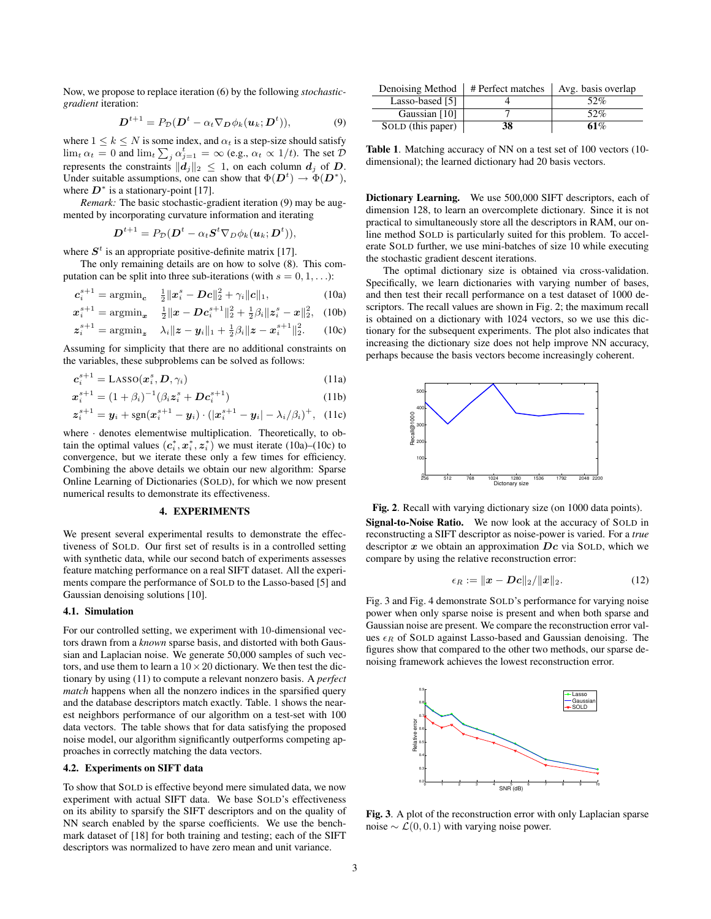Now, we propose to replace iteration (6) by the following *stochasticgradient* iteration:

$$
\mathbf{D}^{t+1} = P_{\mathcal{D}}(\mathbf{D}^t - \alpha_t \nabla_{\mathbf{D}} \phi_k(\mathbf{u}_k; \mathbf{D}^t)), \tag{9}
$$

where  $1 \leq k \leq N$  is some index, and  $\alpha_t$  is a step-size should satisfy  $\lim_{t \to t} \alpha_t = 0$  and  $\lim_{t \to t} \sum_j \alpha_{j=1}^t = \infty$  (e.g.,  $\alpha_t \propto 1/t$ ). The set  $\mathcal{D}$ represents the constraints  $||d_j||_2 \leq 1$ , on each column  $d_j$  of D. Under suitable assumptions, one can show that  $\Phi(\mathbf{D}^t) \to \Phi(\mathbf{D}^*)$ , where  $D^*$  is a stationary-point [17].

*Remark:* The basic stochastic-gradient iteration (9) may be augmented by incorporating curvature information and iterating

$$
\boldsymbol{D}^{t+1} = P_{\mathcal{D}}(\boldsymbol{D}^t - \alpha_t \boldsymbol{S}^t \nabla_{\boldsymbol{D}} \phi_k(\boldsymbol{u}_k; \boldsymbol{D}^t)),
$$

where  $S<sup>t</sup>$  is an appropriate positive-definite matrix [17].

The only remaining details are on how to solve (8). This computation can be split into three sub-iterations (with  $s = 0, 1, \ldots$ ):

$$
\mathbf{c}_{i}^{s+1} = \operatorname{argmin}_{\mathbf{c}} \quad \frac{1}{2} ||\mathbf{x}_{i}^{s} - \mathbf{D}\mathbf{c}||_{2}^{2} + \gamma_{i} ||\mathbf{c}||_{1}, \tag{10a}
$$

$$
\boldsymbol{x}_{i}^{s+1} = \operatorname{argmin}_{\boldsymbol{x}} \quad \frac{1}{2} ||\boldsymbol{x} - \boldsymbol{D} \boldsymbol{c}_{i}^{s+1}||_{2}^{2} + \frac{1}{2} \beta_{i} ||\boldsymbol{z}_{i}^{s} - \boldsymbol{x}||_{2}^{2}, \quad (10b)
$$

$$
z_i^{s+1} = \operatorname{argmin}_{z} \quad \lambda_i \|z - y_i\|_1 + \frac{1}{2} \beta_i \|z - x_i^{s+1}\|_2^2. \tag{10c}
$$

Assuming for simplicity that there are no additional constraints on the variables, these subproblems can be solved as follows:

$$
c_i^{s+1} = \text{LASSO}(\boldsymbol{x}_i^s, \boldsymbol{D}, \gamma_i)
$$
\n(11a)

$$
\boldsymbol{x}_{i}^{s+1} = (1+\beta_{i})^{-1}(\beta_{i}\boldsymbol{z}_{i}^{s} + \boldsymbol{D}\boldsymbol{c}_{i}^{s+1})
$$
(11b)

$$
\mathbf{z}_{i}^{s+1} = \mathbf{y}_{i} + \text{sgn}(\mathbf{x}_{i}^{s+1} - \mathbf{y}_{i}) \cdot (|\mathbf{x}_{i}^{s+1} - \mathbf{y}_{i}| - \lambda_{i}/\beta_{i})^{+}, \quad (11c)
$$

where  $\cdot$  denotes elementwise multiplication. Theoretically, to obtain the optimal values  $(c_i^*, x_i^*, z_i^*)$  we must iterate (10a)–(10c) to convergence, but we iterate these only a few times for efficiency. Combining the above details we obtain our new algorithm: Sparse Online Learning of Dictionaries (SOLD), for which we now present numerical results to demonstrate its effectiveness.

## **4. EXPERIMENTS**

We present several experimental results to demonstrate the effectiveness of SOLD. Our first set of results is in a controlled setting with synthetic data, while our second batch of experiments assesses feature matching performance on a real SIFT dataset. All the experiments compare the performance of SOLD to the Lasso-based [5] and Gaussian denoising solutions [10].

### **4.1. Simulation**

z

For our controlled setting, we experiment with 10-dimensional vectors drawn from a *known* sparse basis, and distorted with both Gaussian and Laplacian noise. We generate 50,000 samples of such vectors, and use them to learn a  $10 \times 20$  dictionary. We then test the dictionary by using (11) to compute a relevant nonzero basis. A *perfect match* happens when all the nonzero indices in the sparsified query and the database descriptors match exactly. Table. 1 shows the nearest neighbors performance of our algorithm on a test-set with 100 data vectors. The table shows that for data satisfying the proposed noise model, our algorithm significantly outperforms competing approaches in correctly matching the data vectors.

## **4.2. Experiments on SIFT data**

To show that SOLD is effective beyond mere simulated data, we now experiment with actual SIFT data. We base SOLD's effectiveness on its ability to sparsify the SIFT descriptors and on the quality of NN search enabled by the sparse coefficients. We use the benchmark dataset of [18] for both training and testing; each of the SIFT descriptors was normalized to have zero mean and unit variance.

| Denoising Method  | # Perfect matches | Avg. basis overlap |
|-------------------|-------------------|--------------------|
| Lasso-based [5]   |                   | 52%                |
| Gaussian [10]     |                   | 52%                |
| SOLD (this paper) | 38                | 61%                |

**Table 1**. Matching accuracy of NN on a test set of 100 vectors (10 dimensional); the learned dictionary had 20 basis vectors.

**Dictionary Learning.** We use 500,000 SIFT descriptors, each of dimension 128, to learn an overcomplete dictionary. Since it is not practical to simultaneously store all the descriptors in RAM, our online method SOLD is particularly suited for this problem. To accelerate SOLD further, we use mini-batches of size 10 while executing the stochastic gradient descent iterations.

The optimal dictionary size is obtained via cross-validation. Specifically, we learn dictionaries with varying number of bases, and then test their recall performance on a test dataset of 1000 descriptors. The recall values are shown in Fig. 2; the maximum recall is obtained on a dictionary with 1024 vectors, so we use this dictionary for the subsequent experiments. The plot also indicates that increasing the dictionary size does not help improve NN accuracy, perhaps because the basis vectors become increasingly coherent.



**Fig. 2**. Recall with varying dictionary size (on 1000 data points). **Signal-to-Noise Ratio.** We now look at the accuracy of SOLD in reconstructing a SIFT descriptor as noise-power is varied. For a *true* descriptor  $x$  we obtain an approximation  $Dc$  via SOLD, which we compare by using the relative reconstruction error:

$$
\epsilon_R := \|x - Dc\|_2 / \|x\|_2. \tag{12}
$$

Fig. 3 and Fig. 4 demonstrate SOLD's performance for varying noise power when only sparse noise is present and when both sparse and Gaussian noise are present. We compare the reconstruction error values  $\epsilon_R$  of SOLD against Lasso-based and Gaussian denoising. The figures show that compared to the other two methods, our sparse denoising framework achieves the lowest reconstruction error.



**Fig. 3**. A plot of the reconstruction error with only Laplacian sparse noise  $\sim$  £(0,0.1) with varying noise power.